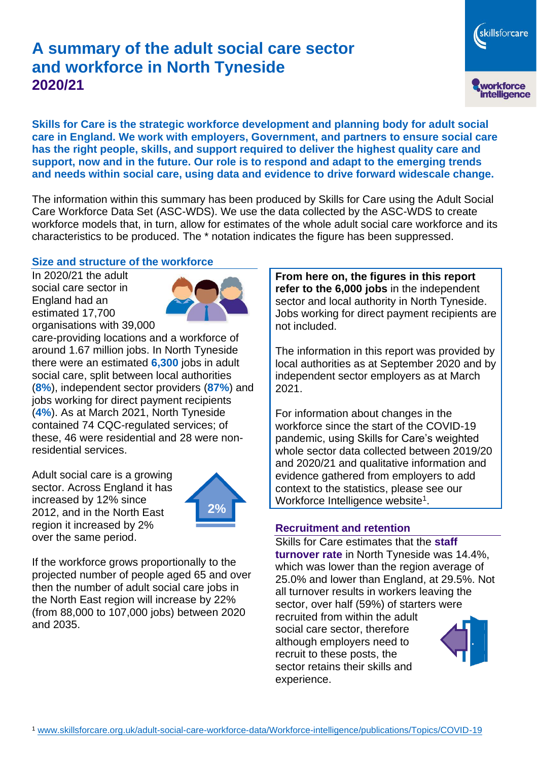# **A summary of the adult social care sector and workforce in North Tyneside 2020/21**

skillsforcare workforce<br>intelligence

**Skills for Care is the strategic workforce development and planning body for adult social care in England. We work with employers, Government, and partners to ensure social care has the right people, skills, and support required to deliver the highest quality care and support, now and in the future. Our role is to respond and adapt to the emerging trends and needs within social care, using data and evidence to drive forward widescale change.**

The information within this summary has been produced by Skills for Care using the Adult Social Care Workforce Data Set (ASC-WDS). We use the data collected by the ASC-WDS to create workforce models that, in turn, allow for estimates of the whole adult social care workforce and its characteristics to be produced. The \* notation indicates the figure has been suppressed.

# **Size and structure of the workforce**

In 2020/21 the adult social care sector in England had an estimated 17,700 organisations with 39,000



care-providing locations and a workforce of around 1.67 million jobs. In North Tyneside there were an estimated **6,300** jobs in adult social care, split between local authorities (**8%**), independent sector providers (**87%**) and jobs working for direct payment recipients (**4%**). As at March 2021, North Tyneside contained 74 CQC-regulated services; of these, 46 were residential and 28 were nonresidential services.

Adult social care is a growing sector. Across England it has increased by 12% since 2012, and in the North East region it increased by 2% over the same period.



If the workforce grows proportionally to the projected number of people aged 65 and over then the number of adult social care jobs in the North East region will increase by 22% (from 88,000 to 107,000 jobs) between 2020 and 2035.

**From here on, the figures in this report refer to the 6,000 jobs** in the independent sector and local authority in North Tyneside. Jobs working for direct payment recipients are not included.

The information in this report was provided by local authorities as at September 2020 and by independent sector employers as at March 2021.

For information about changes in the workforce since the start of the COVID-19 pandemic, using Skills for Care's weighted whole sector data collected between 2019/20 and 2020/21 and qualitative information and evidence gathered from employers to add context to the statistics, please see our Workforce Intelligence website<sup>1</sup>.

# **Recruitment and retention**

Skills for Care estimates that the **staff turnover rate** in North Tyneside was 14.4%, which was lower than the region average of 25.0% and lower than England, at 29.5%. Not all turnover results in workers leaving the sector, over half (59%) of starters were recruited from within the adult social care sector, therefore although employers need to recruit to these posts, the sector retains their skills and experience.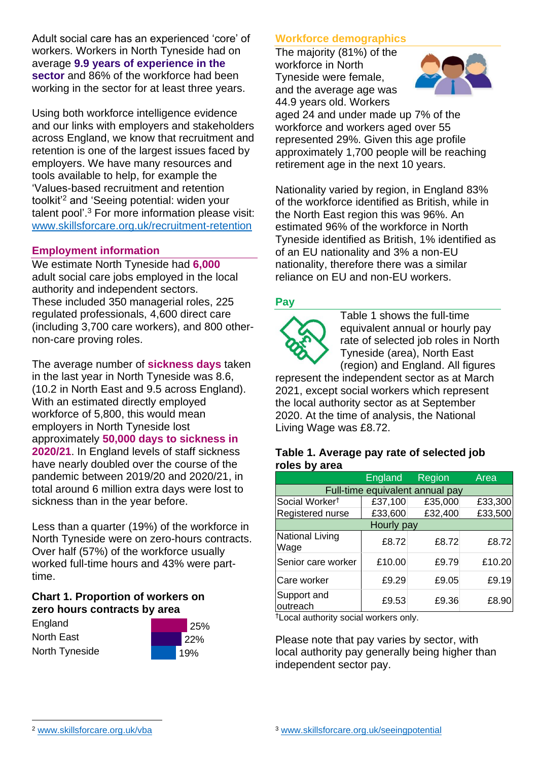Adult social care has an experienced 'core' of workers. Workers in North Tyneside had on average **9.9 years of experience in the sector** and 86% of the workforce had been working in the sector for at least three years.

Using both workforce intelligence evidence and our links with employers and stakeholders across England, we know that recruitment and retention is one of the largest issues faced by employers. We have many resources and tools available to help, for example the 'Values-based recruitment and retention toolkit'<sup>2</sup> and 'Seeing potential: widen your talent pool'. <sup>3</sup> For more information please visit: [www.skillsforcare.org.uk/recruitment-retention](http://www.skillsforcare.org.uk/recruitment-retention)

### **Employment information**

We estimate North Tyneside had **6,000** adult social care jobs employed in the local authority and independent sectors. These included 350 managerial roles, 225 regulated professionals, 4,600 direct care (including 3,700 care workers), and 800 othernon-care proving roles.

The average number of **sickness days** taken in the last year in North Tyneside was 8.6, (10.2 in North East and 9.5 across England). With an estimated directly employed workforce of 5,800, this would mean employers in North Tyneside lost approximately **50,000 days to sickness in 2020/21**. In England levels of staff sickness have nearly doubled over the course of the pandemic between 2019/20 and 2020/21, in total around 6 million extra days were lost to sickness than in the year before.

Less than a quarter (19%) of the workforce in North Tyneside were on zero-hours contracts. Over half (57%) of the workforce usually worked full-time hours and 43% were parttime.

#### **Chart 1. Proportion of workers on zero hours contracts by area**

England North East North Tyneside



### **Workforce demographics**

The majority (81%) of the workforce in North Tyneside were female, and the average age was 44.9 years old. Workers



aged 24 and under made up 7% of the workforce and workers aged over 55 represented 29%. Given this age profile approximately 1,700 people will be reaching retirement age in the next 10 years.

Nationality varied by region, in England 83% of the workforce identified as British, while in the North East region this was 96%. An estimated 96% of the workforce in North Tyneside identified as British, 1% identified as of an EU nationality and 3% a non-EU nationality, therefore there was a similar reliance on EU and non-EU workers.

### **Pay**



Table 1 shows the full-time equivalent annual or hourly pay rate of selected job roles in North Tyneside (area), North East (region) and England. All figures

represent the independent sector as at March 2021, except social workers which represent the local authority sector as at September 2020. At the time of analysis, the National Living Wage was £8.72.

#### **Table 1. Average pay rate of selected job roles by area**

|                                 | <b>England</b> | <b>Region</b> | Area    |
|---------------------------------|----------------|---------------|---------|
| Full-time equivalent annual pay |                |               |         |
| Social Worker <sup>t</sup>      | £37,100        | £35,000       | £33,300 |
| Registered nurse                | £33,600        | £32,400       | £33,500 |
| Hourly pay                      |                |               |         |
| National Living<br>Wage         | £8.72          | £8.72         | £8.72   |
| Senior care worker              | £10.00         | £9.79         | £10.20  |
| Care worker                     | £9.29          | £9.05         | £9.19   |
| Support and<br>outreach         | £9.53          | £9.36         | £8.90   |

†Local authority social workers only.

Please note that pay varies by sector, with local authority pay generally being higher than independent sector pay.

[www.skillsforcare.org.uk/vba](http://www.skillsforcare.org.uk/vba)